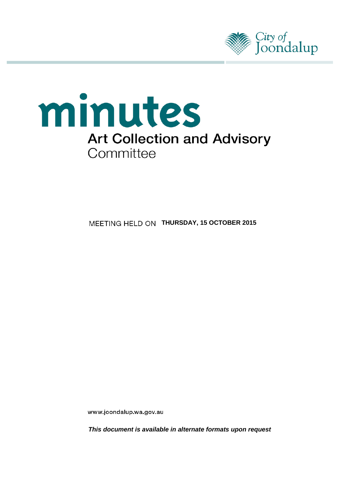



**MEETING HELD ON THURSDAY, 15 OCTOBER 2015** 

www.joondalup.wa.gov.au

*This document is available in alternate formats upon request*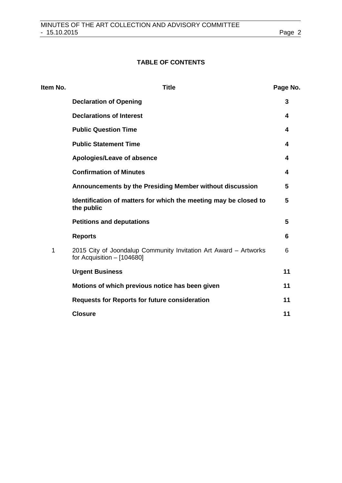# **TABLE OF CONTENTS**

| Item No. | <b>Title</b>                                                                                     | Page No. |
|----------|--------------------------------------------------------------------------------------------------|----------|
|          | <b>Declaration of Opening</b>                                                                    | 3        |
|          | <b>Declarations of Interest</b>                                                                  | 4        |
|          | <b>Public Question Time</b>                                                                      | 4        |
|          | <b>Public Statement Time</b>                                                                     | 4        |
|          | Apologies/Leave of absence                                                                       | 4        |
|          | <b>Confirmation of Minutes</b>                                                                   | 4        |
|          | Announcements by the Presiding Member without discussion                                         | 5        |
|          | Identification of matters for which the meeting may be closed to<br>the public                   | 5        |
|          | <b>Petitions and deputations</b>                                                                 | 5        |
|          | <b>Reports</b>                                                                                   | 6        |
| 1        | 2015 City of Joondalup Community Invitation Art Award - Artworks<br>for Acquisition $-$ [104680] | 6        |
|          | <b>Urgent Business</b>                                                                           | 11       |
|          | Motions of which previous notice has been given                                                  | 11       |
|          | <b>Requests for Reports for future consideration</b>                                             | 11       |
|          | <b>Closure</b>                                                                                   | 11       |
|          |                                                                                                  |          |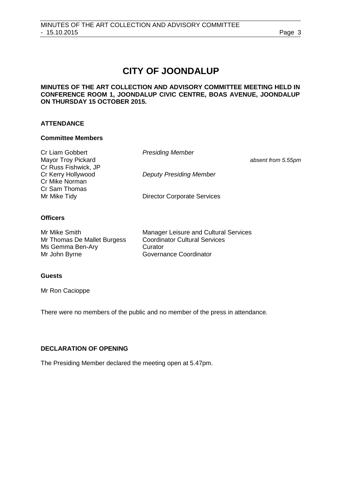# **CITY OF JOONDALUP**

## **MINUTES OF THE ART COLLECTION AND ADVISORY COMMITTEE MEETING HELD IN CONFERENCE ROOM 1, JOONDALUP CIVIC CENTRE, BOAS AVENUE, JOONDALUP ON THURSDAY 15 OCTOBER 2015.**

# **ATTENDANCE**

### **Committee Members**

| Cr Liam Gobbert           | <b>Presiding Member</b>            |                    |
|---------------------------|------------------------------------|--------------------|
| <b>Mayor Troy Pickard</b> |                                    | absent from 5.55pm |
| Cr Russ Fishwick, JP      |                                    |                    |
| Cr Kerry Hollywood        | <b>Deputy Presiding Member</b>     |                    |
| Cr Mike Norman            |                                    |                    |
| Cr Sam Thomas             |                                    |                    |
| Mr Mike Tidy              | <b>Director Corporate Services</b> |                    |

# **Officers**

| Mr Mike Smith               | <b>Manager Leisure and Cultural Services</b> |
|-----------------------------|----------------------------------------------|
| Mr Thomas De Mallet Burgess | <b>Coordinator Cultural Services</b>         |
| Ms Gemma Ben-Ary            | Curator                                      |
| Mr John Byrne               | Governance Coordinator                       |

# **Guests**

Mr Ron Cacioppe

There were no members of the public and no member of the press in attendance.

# <span id="page-2-0"></span>**DECLARATION OF OPENING**

The Presiding Member declared the meeting open at 5.47pm.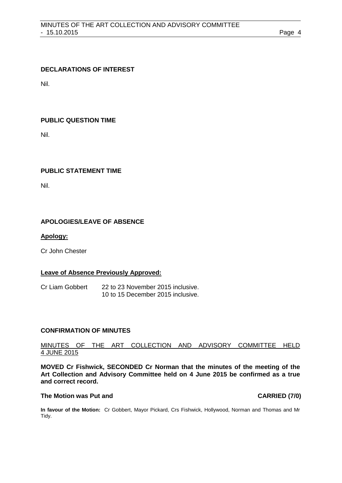### <span id="page-3-0"></span>**DECLARATIONS OF INTEREST**

Nil.

### <span id="page-3-1"></span>**PUBLIC QUESTION TIME**

Nil.

#### <span id="page-3-2"></span>**PUBLIC STATEMENT TIME**

Nil.

### <span id="page-3-3"></span>**APOLOGIES/LEAVE OF ABSENCE**

#### **Apology:**

Cr John Chester

#### **Leave of Absence Previously Approved:**

Cr Liam Gobbert 22 to 23 November 2015 inclusive. 10 to 15 December 2015 inclusive.

#### <span id="page-3-4"></span>**CONFIRMATION OF MINUTES**

# MINUTES OF THE ART COLLECTION AND ADVISORY COMMITTEE HELD 4 JUNE 2015

**MOVED Cr Fishwick, SECONDED Cr Norman that the minutes of the meeting of the Art Collection and Advisory Committee held on 4 June 2015 be confirmed as a true and correct record.**

#### **The Motion was Put and CARRIED (7/0)**

**In favour of the Motion:** Cr Gobbert, Mayor Pickard, Crs Fishwick, Hollywood, Norman and Thomas and Mr Tidy.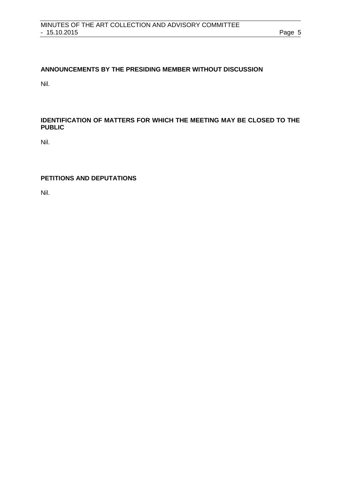# <span id="page-4-0"></span>**ANNOUNCEMENTS BY THE PRESIDING MEMBER WITHOUT DISCUSSION**

Nil.

# <span id="page-4-1"></span>**IDENTIFICATION OF MATTERS FOR WHICH THE MEETING MAY BE CLOSED TO THE PUBLIC**

Nil.

# <span id="page-4-2"></span>**PETITIONS AND DEPUTATIONS**

Nil.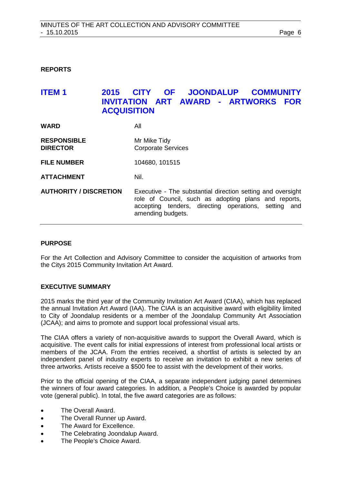#### <span id="page-5-0"></span>**REPORTS**

# <span id="page-5-1"></span>**ITEM 1 2015 CITY OF JOONDALUP COMMUNITY INVITATION ART AWARD - ARTWORKS FOR ACQUISITION**

| <b>WARD</b>                           | All                                                                                                                                                                                                 |
|---------------------------------------|-----------------------------------------------------------------------------------------------------------------------------------------------------------------------------------------------------|
| <b>RESPONSIBLE</b><br><b>DIRECTOR</b> | Mr Mike Tidy<br><b>Corporate Services</b>                                                                                                                                                           |
| <b>FILE NUMBER</b>                    | 104680, 101515                                                                                                                                                                                      |
| <b>ATTACHMENT</b>                     | Nil.                                                                                                                                                                                                |
| <b>AUTHORITY / DISCRETION</b>         | Executive - The substantial direction setting and oversight<br>role of Council, such as adopting plans and reports,<br>accepting tenders, directing operations, setting<br>and<br>amending budgets. |

#### **PURPOSE**

For the Art Collection and Advisory Committee to consider the acquisition of artworks from the Citys 2015 Community Invitation Art Award.

#### **EXECUTIVE SUMMARY**

2015 marks the third year of the Community Invitation Art Award (CIAA), which has replaced the annual Invitation Art Award (IAA). The CIAA is an acquisitive award with eligibility limited to City of Joondalup residents or a member of the Joondalup Community Art Association (JCAA); and aims to promote and support local professional visual arts.

The CIAA offers a variety of non-acquisitive awards to support the Overall Award, which is acquisitive. The event calls for initial expressions of interest from professional local artists or members of the JCAA. From the entries received, a shortlist of artists is selected by an independent panel of industry experts to receive an invitation to exhibit a new series of three artworks. Artists receive a \$500 fee to assist with the development of their works.

Prior to the official opening of the CIAA, a separate independent judging panel determines the winners of four award categories. In addition, a People's Choice is awarded by popular vote (general public). In total, the five award categories are as follows:

- The Overall Award.
- The Overall Runner up Award.
- The Award for Excellence.
- The Celebrating Joondalup Award.
- The People's Choice Award.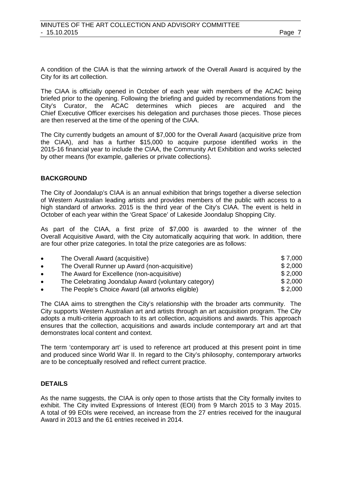A condition of the CIAA is that the winning artwork of the Overall Award is acquired by the City for its art collection.

The CIAA is officially opened in October of each year with members of the ACAC being briefed prior to the opening. Following the briefing and guided by recommendations from the City's Curator, the ACAC determines which pieces are acquired and the Chief Executive Officer exercises his delegation and purchases those pieces. Those pieces are then reserved at the time of the opening of the CIAA.

The City currently budgets an amount of \$7,000 for the Overall Award (acquisitive prize from the CIAA), and has a further \$15,000 to acquire purpose identified works in the 2015-16 financial year to include the CIAA, the Community Art Exhibition and works selected by other means (for example, galleries or private collections).

# **BACKGROUND**

The City of Joondalup's CIAA is an annual exhibition that brings together a diverse selection of Western Australian leading artists and provides members of the public with access to a high standard of artworks. 2015 is the third year of the City's CIAA. The event is held in October of each year within the 'Great Space' of Lakeside Joondalup Shopping City.

As part of the CIAA, a first prize of \$7,000 is awarded to the winner of the Overall Acquisitive Award, with the City automatically acquiring that work. In addition, there are four other prize categories. In total the prize categories are as follows:

| $\bullet$ | The Overall Award (acquisitive)                      | \$7.000 |
|-----------|------------------------------------------------------|---------|
| $\bullet$ | The Overall Runner up Award (non-acquisitive)        | \$2,000 |
| $\bullet$ | The Award for Excellence (non-acquisitive)           | \$2,000 |
| $\bullet$ | The Celebrating Joondalup Award (voluntary category) | \$2,000 |
| $\bullet$ | The People's Choice Award (all artworks eligible)    | \$2,000 |

The CIAA aims to strengthen the City's relationship with the broader arts community. The City supports Western Australian art and artists through an art acquisition program. The City adopts a multi-criteria approach to its art collection, acquisitions and awards. This approach ensures that the collection, acquisitions and awards include contemporary art and art that demonstrates local content and context.

The term 'contemporary art' is used to reference art produced at this present point in time and produced since World War II. In regard to the City's philosophy, contemporary artworks are to be conceptually resolved and reflect current practice.

# **DETAILS**

As the name suggests, the CIAA is only open to those artists that the City formally invites to exhibit. The City invited Expressions of Interest (EOI) from 9 March 2015 to 3 May 2015. A total of 99 EOIs were received, an increase from the 27 entries received for the inaugural Award in 2013 and the 61 entries received in 2014.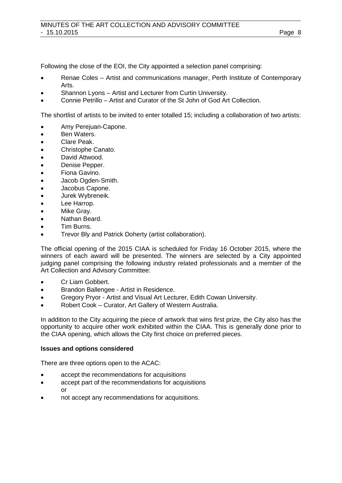Following the close of the EOI, the City appointed a selection panel comprising:

- Renae Coles Artist and communications manager, Perth Institute of Contemporary Arts.
- Shannon Lyons Artist and Lecturer from Curtin University.
- Connie Petrillo Artist and Curator of the St John of God Art Collection.

The shortlist of artists to be invited to enter totalled 15; including a collaboration of two artists:

- Amy Perejuan-Capone.
- Ben Waters.
- Clare Peak.
- Christophe Canato.
- David Attwood.
- Denise Pepper.
- Fiona Gavino.
- Jacob Ogden-Smith.
- Jacobus Capone.
- Jurek Wybreneik.
- Lee Harrop.
- Mike Gray.
- Nathan Beard.
- Tim Burns.
- Trevor Bly and Patrick Doherty (artist collaboration).

The official opening of the 2015 CIAA is scheduled for Friday 16 October 2015, where the winners of each award will be presented. The winners are selected by a City appointed judging panel comprising the following industry related professionals and a member of the Art Collection and Advisory Committee:

- Cr Liam Gobbert.
- Brandon Ballengee Artist in Residence.
- Gregory Pryor Artist and Visual Art Lecturer, Edith Cowan University.
- Robert Cook Curator, Art Gallery of Western Australia.

In addition to the City acquiring the piece of artwork that wins first prize, the City also has the opportunity to acquire other work exhibited within the CIAA. This is generally done prior to the CIAA opening, which allows the City first choice on preferred pieces.

#### **Issues and options considered**

There are three options open to the ACAC:

- accept the recommendations for acquisitions
- accept part of the recommendations for acquisitions or
- not accept any recommendations for acquisitions.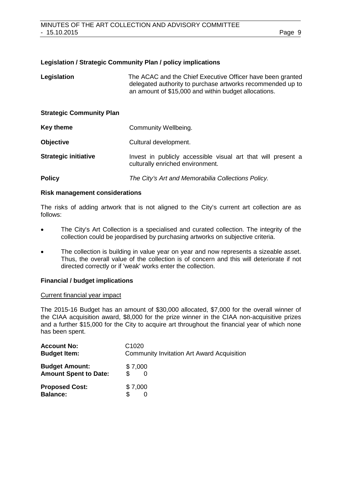#### **Legislation / Strategic Community Plan / policy implications**

| Legislation                     | The ACAC and the Chief Executive Officer have been granted<br>delegated authority to purchase artworks recommended up to<br>an amount of \$15,000 and within budget allocations. |
|---------------------------------|----------------------------------------------------------------------------------------------------------------------------------------------------------------------------------|
| <b>Strategic Community Plan</b> |                                                                                                                                                                                  |
| Key theme                       | Community Wellbeing.                                                                                                                                                             |
| <b>Objective</b>                | Cultural development.                                                                                                                                                            |
| <b>Strategic initiative</b>     | Invest in publicly accessible visual art that will present a<br>culturally enriched environment.                                                                                 |
| <b>Policy</b>                   | The City's Art and Memorabilia Collections Policy.                                                                                                                               |

#### **Risk management considerations**

The risks of adding artwork that is not aligned to the City's current art collection are as follows:

- The City's Art Collection is a specialised and curated collection. The integrity of the collection could be jeopardised by purchasing artworks on subjective criteria.
- The collection is building in value year on year and now represents a sizeable asset. Thus, the overall value of the collection is of concern and this will deteriorate if not directed correctly or if 'weak' works enter the collection.

## **Financial / budget implications**

#### Current financial year impact

The 2015-16 Budget has an amount of \$30,000 allocated, \$7,000 for the overall winner of the CIAA acquisition award, \$8,000 for the prize winner in the CIAA non-acquisitive prizes and a further \$15,000 for the City to acquire art throughout the financial year of which none has been spent.

| <b>Account No:</b>                       | C <sub>1020</sub>                                 |
|------------------------------------------|---------------------------------------------------|
| <b>Budget Item:</b>                      | <b>Community Invitation Art Award Acquisition</b> |
| <b>Budget Amount:</b>                    | \$7,000                                           |
| <b>Amount Spent to Date:</b>             | \$.                                               |
| <b>Proposed Cost:</b><br><b>Balance:</b> | \$7,000                                           |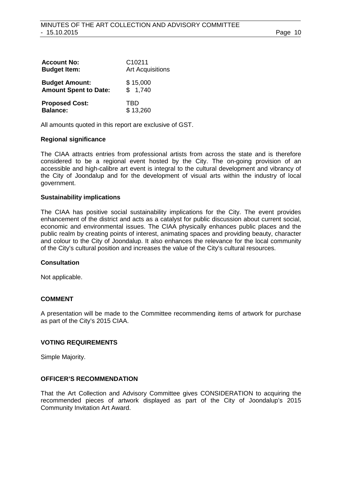| <b>Account No:</b>           | C <sub>10211</sub>      |
|------------------------------|-------------------------|
| <b>Budget Item:</b>          | <b>Art Acquisitions</b> |
| <b>Budget Amount:</b>        | \$15,000                |
| <b>Amount Spent to Date:</b> | \$1,740                 |
| <b>Proposed Cost:</b>        | TRD                     |
| <b>Balance:</b>              | \$13,260                |

All amounts quoted in this report are exclusive of GST.

#### **Regional significance**

The CIAA attracts entries from professional artists from across the state and is therefore considered to be a regional event hosted by the City. The on-going provision of an accessible and high-calibre art event is integral to the cultural development and vibrancy of the City of Joondalup and for the development of visual arts within the industry of local government.

#### **Sustainability implications**

The CIAA has positive social sustainability implications for the City. The event provides enhancement of the district and acts as a catalyst for public discussion about current social, economic and environmental issues. The CIAA physically enhances public places and the public realm by creating points of interest, animating spaces and providing beauty, character and colour to the City of Joondalup. It also enhances the relevance for the local community of the City's cultural position and increases the value of the City's cultural resources.

#### **Consultation**

Not applicable.

### **COMMENT**

A presentation will be made to the Committee recommending items of artwork for purchase as part of the City's 2015 CIAA.

### **VOTING REQUIREMENTS**

Simple Majority.

#### **OFFICER'S RECOMMENDATION**

That the Art Collection and Advisory Committee gives CONSIDERATION to acquiring the recommended pieces of artwork displayed as part of the City of Joondalup's 2015 Community Invitation Art Award.